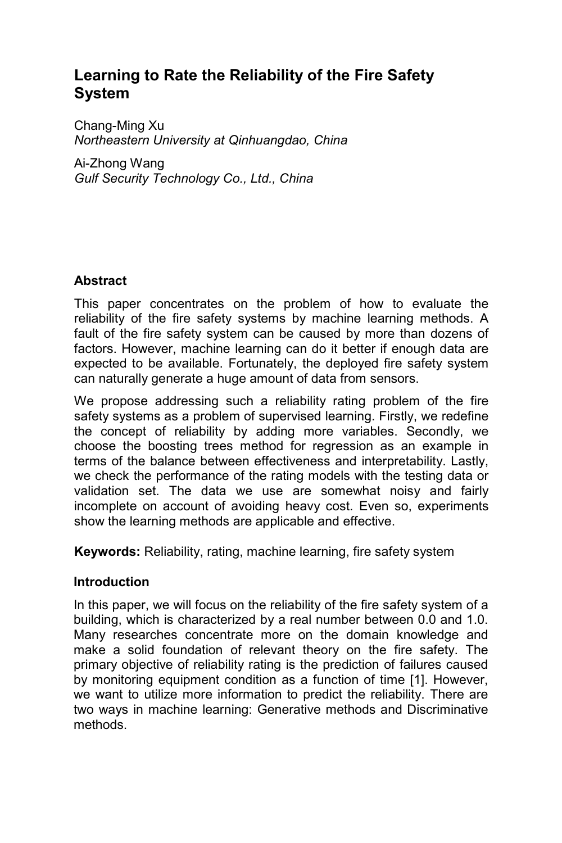# **Learning to Rate the Reliability of the Fire Safety System**

Chang-Ming Xu *Northeastern University at Qinhuangdao, China* 

Ai-Zhong Wang *Gulf Security Technology Co., Ltd., China*

## **Abstract**

This paper concentrates on the problem of how to evaluate the reliability of the fire safety systems by machine learning methods. A fault of the fire safety system can be caused by more than dozens of factors. However, machine learning can do it better if enough data are expected to be available. Fortunately, the deployed fire safety system can naturally generate a huge amount of data from sensors.

We propose addressing such a reliability rating problem of the fire safety systems as a problem of supervised learning. Firstly, we redefine the concept of reliability by adding more variables. Secondly, we choose the boosting trees method for regression as an example in terms of the balance between effectiveness and interpretability. Lastly, we check the performance of the rating models with the testing data or validation set. The data we use are somewhat noisy and fairly incomplete on account of avoiding heavy cost. Even so, experiments show the learning methods are applicable and effective.

**Keywords:** Reliability, rating, machine learning, fire safety system

## **Introduction**

In this paper, we will focus on the reliability of the fire safety system of a building, which is characterized by a real number between 0.0 and 1.0. Many researches concentrate more on the domain knowledge and make a solid foundation of relevant theory on the fire safety. The primary objective of reliability rating is the prediction of failures caused by monitoring equipment condition as a function of time [1]. However, we want to utilize more information to predict the reliability. There are two ways in machine learning: Generative methods and Discriminative methods.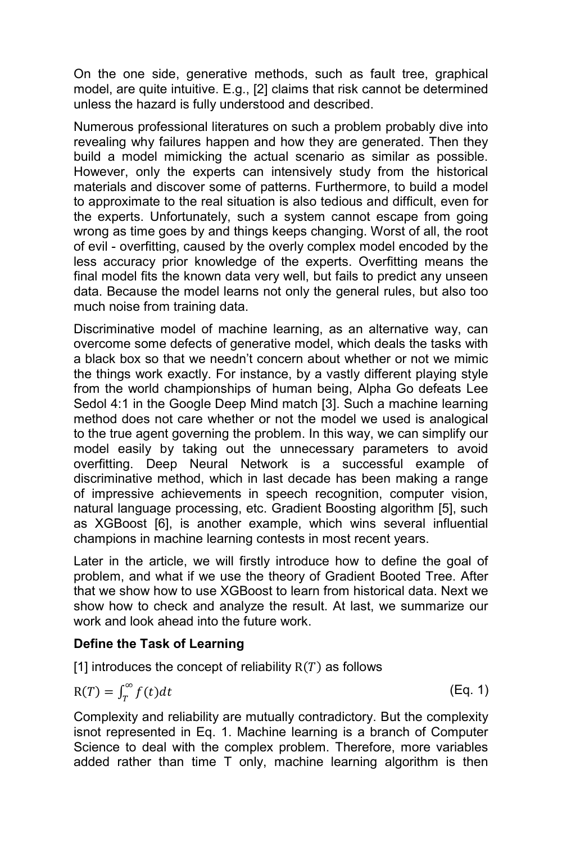On the one side, generative methods, such as fault tree, graphical model, are quite intuitive. E.g., [2] claims that risk cannot be determined unless the hazard is fully understood and described.

Numerous professional literatures on such a problem probably dive into revealing why failures happen and how they are generated. Then they build a model mimicking the actual scenario as similar as possible. However, only the experts can intensively study from the historical materials and discover some of patterns. Furthermore, to build a model to approximate to the real situation is also tedious and difficult, even for the experts. Unfortunately, such a system cannot escape from going wrong as time goes by and things keeps changing. Worst of all, the root of evil - overfitting, caused by the overly complex model encoded by the less accuracy prior knowledge of the experts. Overfitting means the final model fits the known data very well, but fails to predict any unseen data. Because the model learns not only the general rules, but also too much noise from training data.

Discriminative model of machine learning, as an alternative way, can overcome some defects of generative model, which deals the tasks with a black box so that we needn't concern about whether or not we mimic the things work exactly. For instance, by a vastly different playing style from the world championships of human being, Alpha Go defeats Lee Sedol 4:1 in the Google Deep Mind match [3]. Such a machine learning method does not care whether or not the model we used is analogical to the true agent governing the problem. In this way, we can simplify our model easily by taking out the unnecessary parameters to avoid overfitting. Deep Neural Network is a successful example of discriminative method, which in last decade has been making a range of impressive achievements in speech recognition, computer vision, natural language processing, etc. Gradient Boosting algorithm [5], such as XGBoost [6], is another example, which wins several influential champions in machine learning contests in most recent years.

Later in the article, we will firstly introduce how to define the goal of problem, and what if we use the theory of Gradient Booted Tree. After that we show how to use XGBoost to learn from historical data. Next we show how to check and analyze the result. At last, we summarize our work and look ahead into the future work.

## **Define the Task of Learning**

[1] introduces the concept of reliability  $R(T)$  as follows

$$
R(T) = \int_{T}^{\infty} f(t)dt
$$
 (Eq. 1)

Complexity and reliability are mutually contradictory. But the complexity isnot represented in Eq. 1. Machine learning is a branch of Computer Science to deal with the complex problem. Therefore, more variables added rather than time T only, machine learning algorithm is then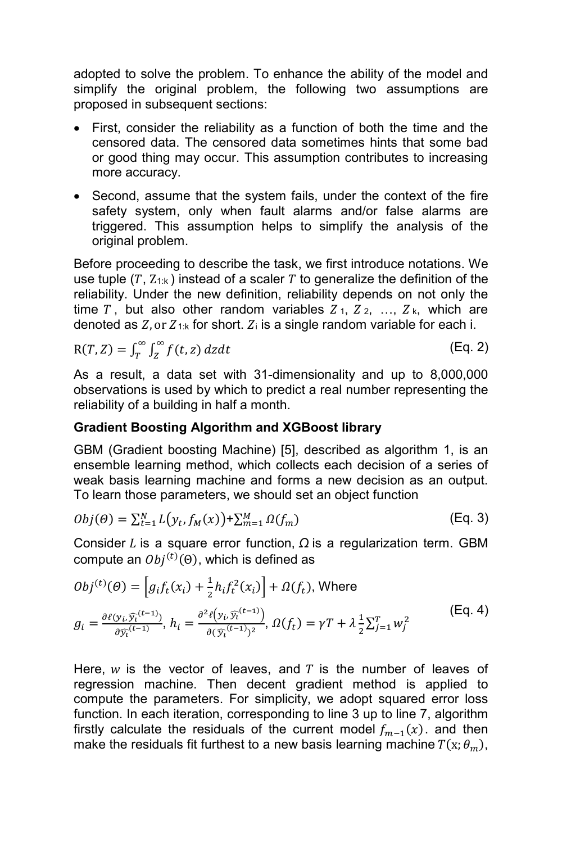adopted to solve the problem. To enhance the ability of the model and simplify the original problem, the following two assumptions are proposed in subsequent sections:

- First, consider the reliability as a function of both the time and the censored data. The censored data sometimes hints that some bad or good thing may occur. This assumption contributes to increasing more accuracy.
- Second, assume that the system fails, under the context of the fire safety system, only when fault alarms and/or false alarms are triggered. This assumption helps to simplify the analysis of the original problem.

Before proceeding to describe the task, we first introduce notations. We use tuple (T,  $Z_{1:k}$ ) instead of a scaler T to generalize the definition of the reliability. Under the new definition, reliability depends on not only the time T, but also other random variables  $Z_1, Z_2, \ldots, Z_k$ , which are denoted as  $Z$ , or  $Z_{1:k}$  for short.  $Z_i$  is a single random variable for each i.

$$
R(T, Z) = \int_{T}^{\infty} \int_{Z}^{\infty} f(t, z) dz dt
$$
 (Eq. 2)

As a result, a data set with 31-dimensionality and up to 8,000,000 observations is used by which to predict a real number representing the reliability of a building in half a month.

## **Gradient Boosting Algorithm and XGBoost library**

GBM (Gradient boosting Machine) [5], described as algorithm 1, is an ensemble learning method, which collects each decision of a series of weak basis learning machine and forms a new decision as an output. To learn those parameters, we should set an object function

$$
Obj(\Theta) = \sum_{t=1}^{N} L\big(\mathbf{y}_t, f_M(\mathbf{x})\big) + \sum_{m=1}^{M} \Omega(f_m)
$$
 (Eq. 3)

Consider  $L$  is a square error function,  $\Omega$  is a regularization term. GBM compute an  $Obj^{(t)}(\Theta)$ , which is defined as

$$
Obj^{(t)}(\Theta) = \left[g_i f_t(x_i) + \frac{1}{2} h_i f_t^2(x_i)\right] + \Omega(f_t), \text{ Where}
$$
  

$$
g_i = \frac{\partial \ell(y_i, \widehat{y_i}^{(t-1)})}{\partial \widehat{y_i}^{(t-1)}}, \ h_i = \frac{\partial^2 \ell(y_i, \widehat{y_i}^{(t-1)})}{\partial (\widehat{y_i}^{(t-1)})^2}, \ \Omega(f_t) = \gamma T + \lambda \frac{1}{2} \sum_{j=1}^T w_j^2
$$
(Eq. 4)

Here,  $w$  is the vector of leaves, and  $T$  is the number of leaves of regression machine. Then decent gradient method is applied to compute the parameters. For simplicity, we adopt squared error loss function. In each iteration, corresponding to line 3 up to line 7, algorithm firstly calculate the residuals of the current model  $f_{m-1}(x)$ . and then make the residuals fit furthest to a new basis learning machine  $T(x; \theta_m)$ ,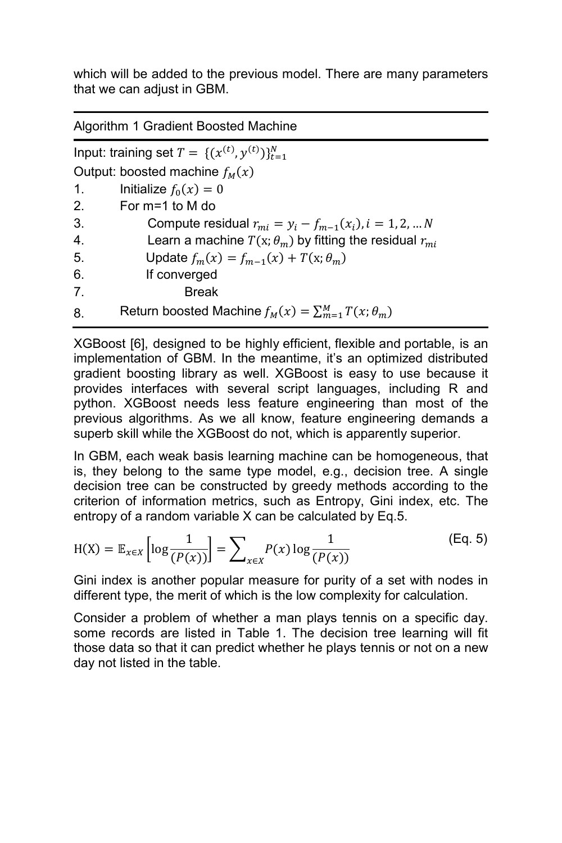which will be added to the previous model. There are many parameters that we can adjust in GBM.

Algorithm 1 Gradient Boosted Machine

Input: training set  $T = \{(x^{(t)}, y^{(t)})\}_{t=1}^N$ Output: boosted machine  $f_M(x)$ 1. Initialize  $f_0(x) = 0$ 2. For m=1 to M do 3. Compute residual  $r_{mi} = y_i - f_{m-1}(x_i)$ ,  $i = 1, 2, ... N$ 4. Learn a machine  $T(x; \theta_m)$  by fitting the residual  $r_{mi}$ 5. Update  $f_m(x) = f_{m-1}(x) + T(x; \theta_m)$ 6. If converged 7. Break 8. Return boosted Machine  $f_M(x) = \sum_{m=1}^M T(x; \theta_m)$ 

XGBoost [6], designed to be highly efficient, flexible and portable, is an implementation of GBM. In the meantime, it's an optimized distributed gradient boosting library as well. XGBoost is easy to use because it provides interfaces with several script languages, including R and python. XGBoost needs less feature engineering than most of the previous algorithms. As we all know, feature engineering demands a superb skill while the XGBoost do not, which is apparently superior.

In GBM, each weak basis learning machine can be homogeneous, that is, they belong to the same type model, e.g., decision tree. A single decision tree can be constructed by greedy methods according to the criterion of information metrics, such as Entropy, Gini index, etc. The entropy of a random variable X can be calculated by Eq.5.

$$
H(X) = \mathbb{E}_{x \in X} \left[ \log \frac{1}{(P(x))} \right] = \sum_{x \in X} P(x) \log \frac{1}{(P(x))}
$$
(Eq. 5)

Gini index is another popular measure for purity of a set with nodes in different type, the merit of which is the low complexity for calculation.

Consider a problem of whether a man plays tennis on a specific day. some records are listed in Table 1. The decision tree learning will fit those data so that it can predict whether he plays tennis or not on a new day not listed in the table.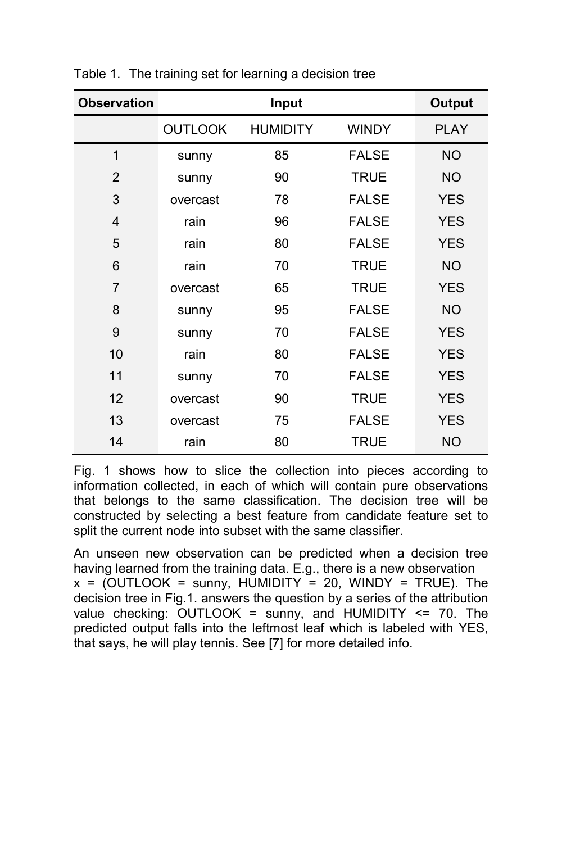| <b>Observation</b> |                | Input           |              | <b>Output</b> |
|--------------------|----------------|-----------------|--------------|---------------|
|                    | <b>OUTLOOK</b> | <b>HUMIDITY</b> | <b>WINDY</b> | <b>PLAY</b>   |
| 1                  | sunny          | 85              | <b>FALSE</b> | <b>NO</b>     |
| $\overline{2}$     | sunny          | 90              | <b>TRUE</b>  | <b>NO</b>     |
| 3                  | overcast       | 78              | <b>FALSE</b> | <b>YES</b>    |
| 4                  | rain           | 96              | <b>FALSE</b> | <b>YES</b>    |
| 5                  | rain           | 80              | <b>FALSE</b> | <b>YES</b>    |
| 6                  | rain           | 70              | <b>TRUE</b>  | <b>NO</b>     |
| $\overline{7}$     | overcast       | 65              | <b>TRUE</b>  | <b>YES</b>    |
| 8                  | sunny          | 95              | <b>FALSE</b> | <b>NO</b>     |
| 9                  | sunny          | 70              | <b>FALSE</b> | <b>YES</b>    |
| 10                 | rain           | 80              | <b>FALSE</b> | <b>YES</b>    |
| 11                 | sunny          | 70              | <b>FALSE</b> | <b>YES</b>    |
| 12                 | overcast       | 90              | <b>TRUE</b>  | <b>YES</b>    |
| 13                 | overcast       | 75              | <b>FALSE</b> | <b>YES</b>    |
| 14                 | rain           | 80              | TRUE         | NO.           |

Table 1. The training set for learning a decision tree

Fig. 1 shows how to slice the collection into pieces according to information collected, in each of which will contain pure observations that belongs to the same classification. The decision tree will be constructed by selecting a best feature from candidate feature set to split the current node into subset with the same classifier.

An unseen new observation can be predicted when a decision tree having learned from the training data. E.g., there is a new observation  $x =$  (OUTLOOK = sunny, HUMIDITY = 20, WINDY = TRUE). The decision tree in Fig.1. answers the question by a series of the attribution value checking: OUTLOOK = sunny, and HUMIDITY <= 70. The predicted output falls into the leftmost leaf which is labeled with YES, that says, he will play tennis. See [7] for more detailed info.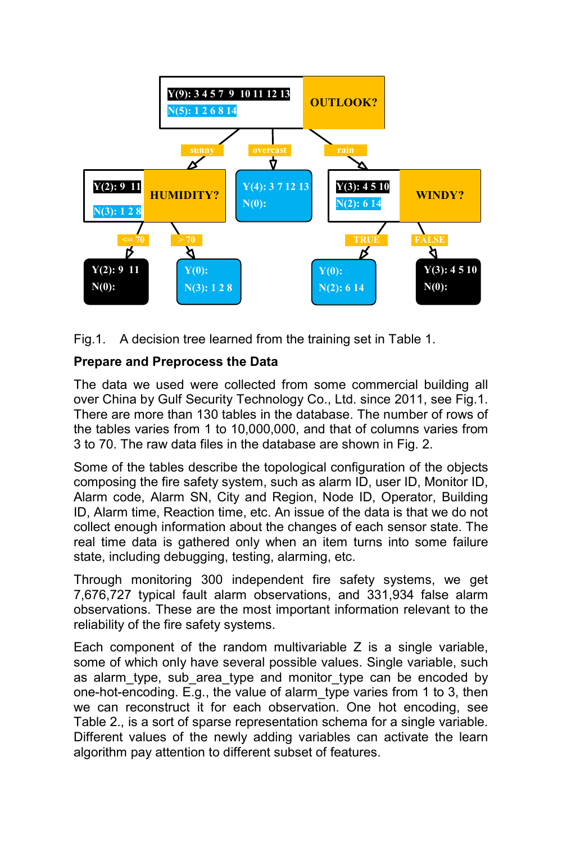

Fig.1. A decision tree learned from the training set in Table 1.

## **Prepare and Preprocess the Data**

The data we used were collected from some commercial building all over China by Gulf Security Technology Co., Ltd. since 2011, see Fig.1. There are more than 130 tables in the database. The number of rows of the tables varies from 1 to 10,000,000, and that of columns varies from 3 to 70. The raw data files in the database are shown in Fig. 2.

Some of the tables describe the topological configuration of the objects composing the fire safety system, such as alarm ID, user ID, Monitor ID, Alarm code, Alarm SN, City and Region, Node ID, Operator, Building ID, Alarm time, Reaction time, etc. An issue of the data is that we do not collect enough information about the changes of each sensor state. The real time data is gathered only when an item turns into some failure state, including debugging, testing, alarming, etc.

Through monitoring 300 independent fire safety systems, we get 7,676,727 typical fault alarm observations, and 331,934 false alarm observations. These are the most important information relevant to the reliability of the fire safety systems.

Each component of the random multivariable Z is a single variable, some of which only have several possible values. Single variable, such as alarm\_type, sub\_area\_type and monitor\_type can be encoded by one-hot-encoding. E.g., the value of alarm\_type varies from 1 to 3, then we can reconstruct it for each observation. One hot encoding, see Table 2., is a sort of sparse representation schema for a single variable. Different values of the newly adding variables can activate the learn algorithm pay attention to different subset of features.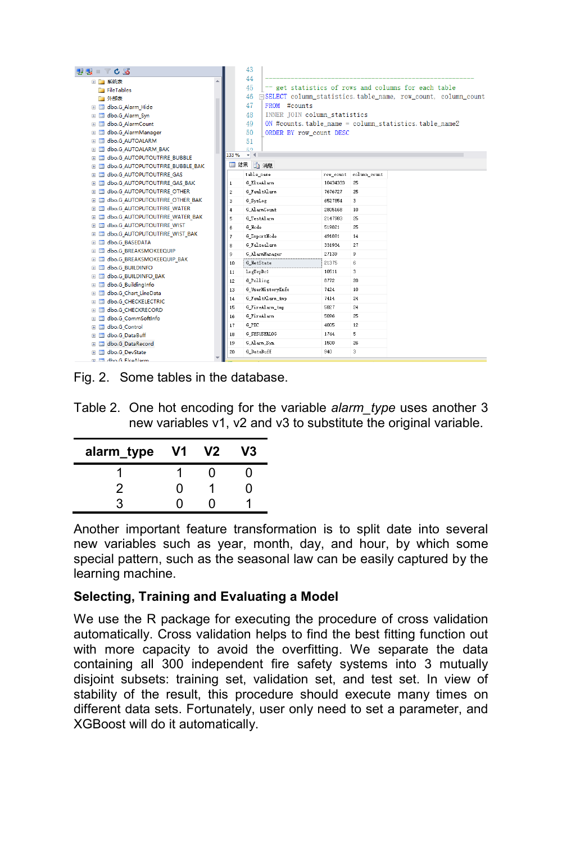| - 12 BX =<br>$C = 3$                            |                | 43                                 |           |              |                                                                       |  |
|-------------------------------------------------|----------------|------------------------------------|-----------|--------------|-----------------------------------------------------------------------|--|
| 田 二 系统表                                         |                | 44                                 |           |              |                                                                       |  |
| FileTables                                      |                | 45                                 |           |              | -- get statistics of rows and columns for each table                  |  |
| 一外部表                                            |                | 46                                 |           |              | <b>FISELECT</b> column_statistics.table_name, row_count, column_count |  |
| E El dbo.G Alarm Hide                           |                | 47<br>FROM #counts                 |           |              |                                                                       |  |
| <b>El El dbo.G Alarm Syn</b>                    |                | INNER JOIN column statistics<br>48 |           |              |                                                                       |  |
| dbo.G AlarmCount<br>⊞                           |                | 49                                 |           |              | ON #counts. table name = column statistics. table name2               |  |
| dbo.G AlarmManager<br>⊞                         |                | 50<br>ORDER BY row count DESC      |           |              |                                                                       |  |
| dbo.G AUTOALARM<br>⊞<br>$\equiv$                |                | 51                                 |           |              |                                                                       |  |
| dbo.G AUTOALARM BAK<br>œ.                       |                | 59                                 |           |              |                                                                       |  |
| dbo.G AUTOPUTOUTFIRE BUBBLE<br>œ.               |                | 133 %<br>٠                         |           |              |                                                                       |  |
| dbo.G AUTOPUTOUTFIRE BUBBLE BAK<br>▣            | ■ 结果           | 面消息                                |           |              |                                                                       |  |
| dbo.G AUTOPUTOUTFIRE GAS<br>Ð                   |                | table_name                         | row_count | column_count |                                                                       |  |
| dbo.G AUTOPUTOUTFIRE GAS BAK<br>œ.              | $\mathbf{1}$   | G_ElseAlarm                        | 10434333  | 25           |                                                                       |  |
| dbo.G AUTOPUTOUTFIRE OTHER<br>▦                 | $\overline{2}$ | G FaultAlarm                       | 7676727   | 25           |                                                                       |  |
| dbo.G AUTOPUTOUTFIRE OTHER BAK<br>Đ             | 3              | G SysLog                           | 6527854   | 3            |                                                                       |  |
| dbo.G AUTOPUTOUTFIRE WATER<br>Œ.<br>围           | 4              | G AlarmCount                       | 2805168   | 10           |                                                                       |  |
| dbo.G AUTOPUTOUTFIRE WATER BAK<br>⊞             | 5.             | G TestAlarm                        | 2147983   | 25           |                                                                       |  |
| dbo.G AUTOPUTOUTFIRE WIST<br>œ.                 | 6              | G_Node                             | 519821    | 25           |                                                                       |  |
| dbo.G AUTOPUTOUTFIRE WIST BAK<br>⊞              | $\overline{r}$ | G InportNode                       | 491891    | 14           |                                                                       |  |
| dbo.G_BASEDATA<br>⊞<br>$\equiv$                 | 8              | G Falsealarn                       | 331934    | 27           |                                                                       |  |
| dbo.G BREAKSMOKEEQUIP                           | 9              | G_AlarnManager                     | 27139     | 9            |                                                                       |  |
| dbo.G BREAKSMOKEEQUIP BAK<br>⊞                  | 10             | G NetState                         | 21375     | 6            |                                                                       |  |
| dbo.G BUILDINFO<br>⊞<br>$\equiv$                | 11             | LogTcpDc1                          | 10511     | 3            |                                                                       |  |
| dbo.G BUILDINFO BAK<br>œ.<br>dbo.G BuildingInfo | 12             | G Polling                          | 8772      | 20           |                                                                       |  |
| ⊞<br>dbo.G Chart LineData                       | 13             | G_UserHistoryInfo                  | 7424      | 10           |                                                                       |  |
| ⊞<br>dbo.G CHECKELECTRIC<br>œ.                  | 14             | G_FaultAlarm_tmp                   | 7414      | 24           |                                                                       |  |
| dbo.G CHECKRECORD<br>⊞                          | 15             | G_FireAlarm_tmp                    | 5827      | 24           |                                                                       |  |
| dbo.G CommSoftInfo<br>⊞                         | 16             | G_FireAlarm                        | 5096      | 25           |                                                                       |  |
| dbo.G Control<br>œ.                             | 17             | G PIC                              | 4005      | 12           |                                                                       |  |
| dbo.G DataBuff<br>⊞                             | 18             | <b>G SYSUSERLOG</b>                | 1744      | 5            |                                                                       |  |
| dbo.G DataRecord<br>田<br><b>EXI</b>             | 19             | G_Alarn_Syn                        | 1500      | 26           |                                                                       |  |
| dbo.G DevState                                  | 20             | G DataBuff                         | 940       | 3            |                                                                       |  |
| <b>EL EL dho G. FleeAlarm</b>                   |                |                                    |           |              |                                                                       |  |

Fig. 2. Some tables in the database.

Table 2. One hot encoding for the variable *alarm\_type* uses another 3 new variables v1, v2 and v3 to substitute the original variable.

| alarm_type | V1 | V2 | V3 |
|------------|----|----|----|
|            |    | 0  |    |
| 2          | O  |    | 7  |
|            |    |    |    |

Another important feature transformation is to split date into several new variables such as year, month, day, and hour, by which some special pattern, such as the seasonal law can be easily captured by the learning machine.

## **Selecting, Training and Evaluating a Model**

We use the R package for executing the procedure of cross validation automatically. Cross validation helps to find the best fitting function out with more capacity to avoid the overfitting. We separate the data containing all 300 independent fire safety systems into 3 mutually disjoint subsets: training set, validation set, and test set. In view of stability of the result, this procedure should execute many times on different data sets. Fortunately, user only need to set a parameter, and XGBoost will do it automatically.